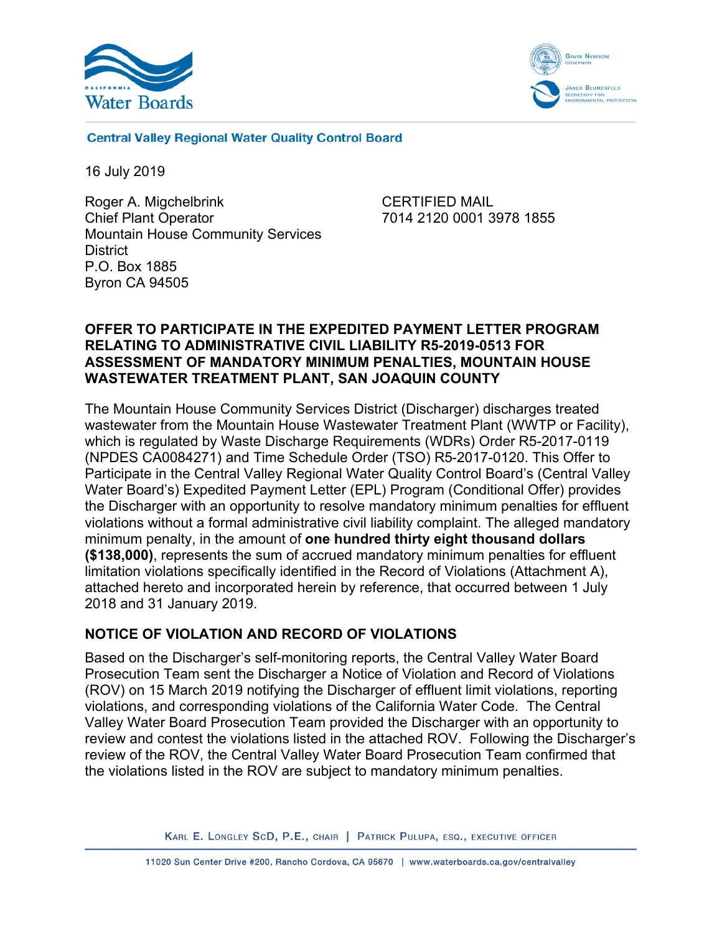



**Central Valley Regional Water Quality Control Board** 

16 July 2019

Roger A. Migchelbrink Chief Plant Operator Mountain House Community Services **District** P.O. Box 1885 Byron CA 94505

CERTIFIED MAIL 7014 2120 0001 3978 1855

### **OFFER TO PARTICIPATE IN THE EXPEDITED PAYMENT LETTER PROGRAM RELATING TO ADMINISTRATIVE CIVIL LIABILITY R5-2019-0513 FOR ASSESSMENT OF MANDATORY MINIMUM PENALTIES, MOUNTAIN HOUSE WASTEWATER TREATMENT PLANT, SAN JOAQUIN COUNTY**

The Mountain House Community Services District (Discharger) discharges treated wastewater from the Mountain House Wastewater Treatment Plant (WWTP or Facility), which is regulated by Waste Discharge Requirements (WDRs) Order R5-2017-0119 (NPDES CA0084271) and Time Schedule Order (TSO) R5-2017-0120. This Offer to Participate in the Central Valley Regional Water Quality Control Board's (Central Valley Water Board's) Expedited Payment Letter (EPL) Program (Conditional Offer) provides the Discharger with an opportunity to resolve mandatory minimum penalties for effluent violations without a formal administrative civil liability complaint. The alleged mandatory minimum penalty, in the amount of **one hundred thirty eight thousand dollars (\$138,000)**, represents the sum of accrued mandatory minimum penalties for effluent limitation violations specifically identified in the Record of Violations (Attachment A), attached hereto and incorporated herein by reference, that occurred between 1 July 2018 and 31 January 2019.

# **NOTICE OF VIOLATION AND RECORD OF VIOLATIONS**

Based on the Discharger's self-monitoring reports, the Central Valley Water Board Prosecution Team sent the Discharger a Notice of Violation and Record of Violations (ROV) on 15 March 2019 notifying the Discharger of effluent limit violations, reporting violations, and corresponding violations of the California Water Code. The Central Valley Water Board Prosecution Team provided the Discharger with an opportunity to review and contest the violations listed in the attached ROV. Following the Discharger's review of the ROV, the Central Valley Water Board Prosecution Team confirmed that the violations listed in the ROV are subject to mandatory minimum penalties.

KARL E. LONGLEY SCD, P.E., CHAIR | PATRICK PULUPA, ESQ., EXECUTIVE OFFICER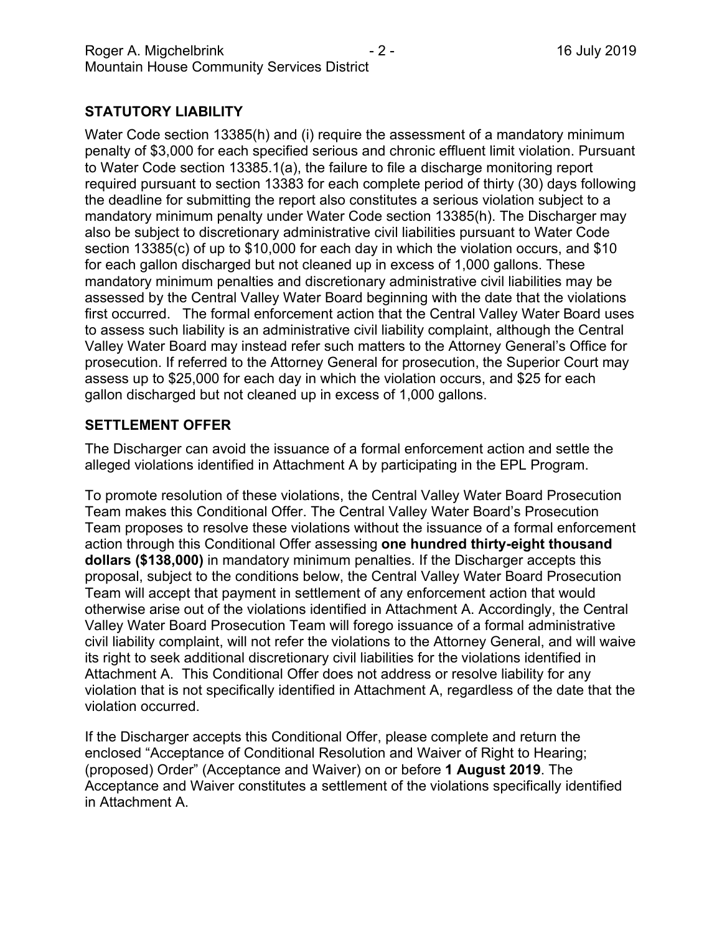# **STATUTORY LIABILITY**

Water Code section 13385(h) and (i) require the assessment of a mandatory minimum penalty of \$3,000 for each specified serious and chronic effluent limit violation. Pursuant to Water Code section 13385.1(a), the failure to file a discharge monitoring report required pursuant to section 13383 for each complete period of thirty (30) days following the deadline for submitting the report also constitutes a serious violation subject to a mandatory minimum penalty under Water Code section 13385(h). The Discharger may also be subject to discretionary administrative civil liabilities pursuant to Water Code section 13385(c) of up to \$10,000 for each day in which the violation occurs, and \$10 for each gallon discharged but not cleaned up in excess of 1,000 gallons. These mandatory minimum penalties and discretionary administrative civil liabilities may be assessed by the Central Valley Water Board beginning with the date that the violations first occurred. The formal enforcement action that the Central Valley Water Board uses to assess such liability is an administrative civil liability complaint, although the Central Valley Water Board may instead refer such matters to the Attorney General's Office for prosecution. If referred to the Attorney General for prosecution, the Superior Court may assess up to \$25,000 for each day in which the violation occurs, and \$25 for each gallon discharged but not cleaned up in excess of 1,000 gallons.

### **SETTLEMENT OFFER**

The Discharger can avoid the issuance of a formal enforcement action and settle the alleged violations identified in Attachment A by participating in the EPL Program.

To promote resolution of these violations, the Central Valley Water Board Prosecution Team makes this Conditional Offer. The Central Valley Water Board's Prosecution Team proposes to resolve these violations without the issuance of a formal enforcement action through this Conditional Offer assessing **one hundred thirty-eight thousand dollars (\$138,000)** in mandatory minimum penalties. If the Discharger accepts this proposal, subject to the conditions below, the Central Valley Water Board Prosecution Team will accept that payment in settlement of any enforcement action that would otherwise arise out of the violations identified in Attachment A. Accordingly, the Central Valley Water Board Prosecution Team will forego issuance of a formal administrative civil liability complaint, will not refer the violations to the Attorney General, and will waive its right to seek additional discretionary civil liabilities for the violations identified in Attachment A. This Conditional Offer does not address or resolve liability for any violation that is not specifically identified in Attachment A, regardless of the date that the violation occurred.

If the Discharger accepts this Conditional Offer, please complete and return the enclosed "Acceptance of Conditional Resolution and Waiver of Right to Hearing; (proposed) Order" (Acceptance and Waiver) on or before **1 August 2019**. The Acceptance and Waiver constitutes a settlement of the violations specifically identified in Attachment A.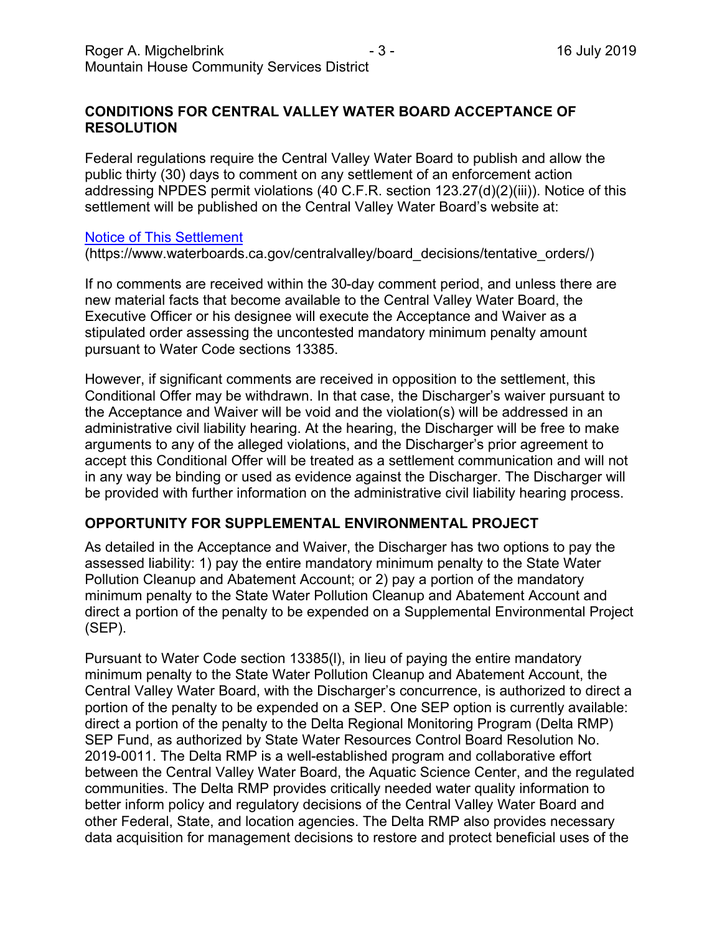### **CONDITIONS FOR CENTRAL VALLEY WATER BOARD ACCEPTANCE OF RESOLUTION**

Federal regulations require the Central Valley Water Board to publish and allow the public thirty (30) days to comment on any settlement of an enforcement action addressing NPDES permit violations (40 C.F.R. section 123.27(d)(2)(iii)). Notice of this settlement will be published on the Central Valley Water Board's website at:

#### [Notice of This Settlement](https://www.waterboards.ca.gov/centralvalley/board_decisions/tentative_orders/)

(https://www.waterboards.ca.gov/centralvalley/board\_decisions/tentative\_orders/)

If no comments are received within the 30-day comment period, and unless there are new material facts that become available to the Central Valley Water Board, the Executive Officer or his designee will execute the Acceptance and Waiver as a stipulated order assessing the uncontested mandatory minimum penalty amount pursuant to Water Code sections 13385.

However, if significant comments are received in opposition to the settlement, this Conditional Offer may be withdrawn. In that case, the Discharger's waiver pursuant to the Acceptance and Waiver will be void and the violation(s) will be addressed in an administrative civil liability hearing. At the hearing, the Discharger will be free to make arguments to any of the alleged violations, and the Discharger's prior agreement to accept this Conditional Offer will be treated as a settlement communication and will not in any way be binding or used as evidence against the Discharger. The Discharger will be provided with further information on the administrative civil liability hearing process.

### **OPPORTUNITY FOR SUPPLEMENTAL ENVIRONMENTAL PROJECT**

As detailed in the Acceptance and Waiver, the Discharger has two options to pay the assessed liability: 1) pay the entire mandatory minimum penalty to the State Water Pollution Cleanup and Abatement Account; or 2) pay a portion of the mandatory minimum penalty to the State Water Pollution Cleanup and Abatement Account and direct a portion of the penalty to be expended on a Supplemental Environmental Project (SEP).

Pursuant to Water Code section 13385(l), in lieu of paying the entire mandatory minimum penalty to the State Water Pollution Cleanup and Abatement Account, the Central Valley Water Board, with the Discharger's concurrence, is authorized to direct a portion of the penalty to be expended on a SEP. One SEP option is currently available: direct a portion of the penalty to the Delta Regional Monitoring Program (Delta RMP) SEP Fund, as authorized by State Water Resources Control Board Resolution No. 2019-0011. The Delta RMP is a well-established program and collaborative effort between the Central Valley Water Board, the Aquatic Science Center, and the regulated communities. The Delta RMP provides critically needed water quality information to better inform policy and regulatory decisions of the Central Valley Water Board and other Federal, State, and location agencies. The Delta RMP also provides necessary data acquisition for management decisions to restore and protect beneficial uses of the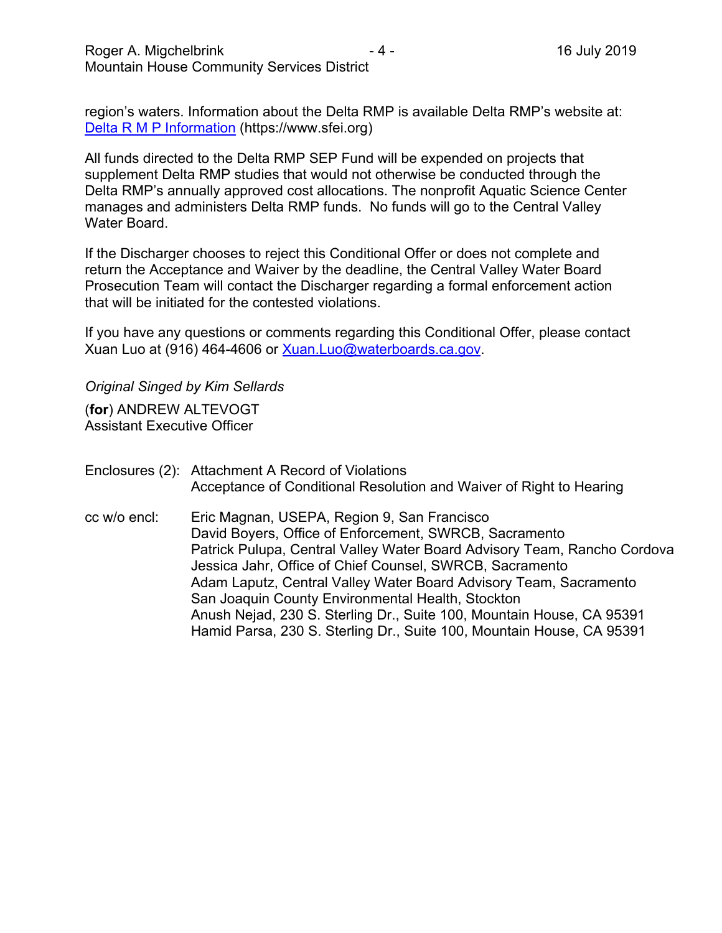region's waters. Information about the Delta RMP is available Delta RMP's website at: [Delta R M P Information](https://www.sfei.org/) (https://www.sfei.org)

All funds directed to the Delta RMP SEP Fund will be expended on projects that supplement Delta RMP studies that would not otherwise be conducted through the Delta RMP's annually approved cost allocations. The nonprofit Aquatic Science Center manages and administers Delta RMP funds. No funds will go to the Central Valley Water Board.

If the Discharger chooses to reject this Conditional Offer or does not complete and return the Acceptance and Waiver by the deadline, the Central Valley Water Board Prosecution Team will contact the Discharger regarding a formal enforcement action that will be initiated for the contested violations.

If you have any questions or comments regarding this Conditional Offer, please contact Xuan Luo at (916) 464-4606 or [Xuan.Luo@waterboards.ca.gov.](mailto:Xuan.Luo@waterboards.ca.gov)

*Original Singed by Kim Sellards* 

(**for**) ANDREW ALTEVOGT Assistant Executive Officer

Enclosures (2): Attachment A Record of Violations Acceptance of Conditional Resolution and Waiver of Right to Hearing

cc w/o encl: Eric Magnan, USEPA, Region 9, San Francisco David Boyers, Office of Enforcement, SWRCB, Sacramento Patrick Pulupa, Central Valley Water Board Advisory Team, Rancho Cordova Jessica Jahr, Office of Chief Counsel, SWRCB, Sacramento Adam Laputz, Central Valley Water Board Advisory Team, Sacramento San Joaquin County Environmental Health, Stockton Anush Nejad, 230 S. Sterling Dr., Suite 100, Mountain House, CA 95391 Hamid Parsa, 230 S. Sterling Dr., Suite 100, Mountain House, CA 95391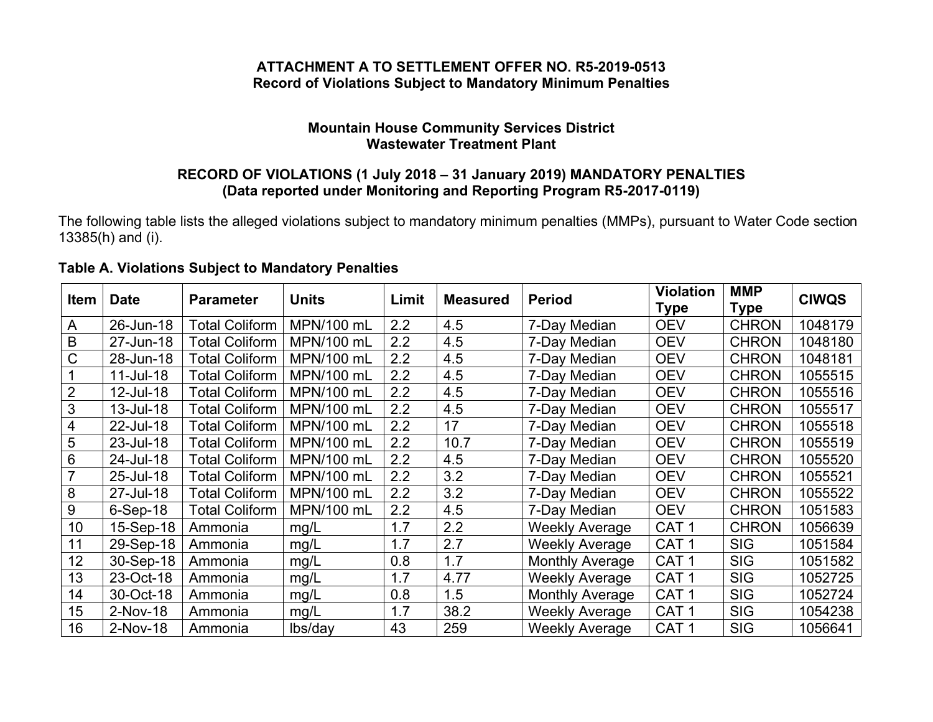# **ATTACHMENT A TO SETTLEMENT OFFER NO. R5-2019-0513 Record of Violations Subject to Mandatory Minimum Penalties**

### **Mountain House Community Services District Wastewater Treatment Plant**

### **RECORD OF VIOLATIONS (1 July 2018 – 31 January 2019) MANDATORY PENALTIES (Data reported under Monitoring and Reporting Program R5-2017-0119)**

The following table lists the alleged violations subject to mandatory minimum penalties (MMPs), pursuant to Water Code section 13385(h) and (i).

| <b>Table A. Violations Subject to Mandatory Penalties</b> |  |
|-----------------------------------------------------------|--|
|-----------------------------------------------------------|--|

|             |             |                       |              | Limit |                 | <b>Period</b>          | <b>Violation</b> | <b>MMP</b>   | <b>CIWQS</b> |
|-------------|-------------|-----------------------|--------------|-------|-----------------|------------------------|------------------|--------------|--------------|
| <b>Item</b> | <b>Date</b> | <b>Parameter</b>      | <b>Units</b> |       | <b>Measured</b> |                        | Type             | <b>Type</b>  |              |
| A           | 26-Jun-18   | Total Coliform        | MPN/100 mL   | 2.2   | 4.5             | 7-Day Median           | <b>OEV</b>       | <b>CHRON</b> | 1048179      |
| B           | 27-Jun-18   | <b>Total Coliform</b> | MPN/100 mL   | 2.2   | 4.5             | 7-Day Median           | <b>OEV</b>       | <b>CHRON</b> | 1048180      |
| С           | 28-Jun-18   | <b>Total Coliform</b> | MPN/100 mL   | 2.2   | 4.5             | 7-Day Median           | <b>OEV</b>       | <b>CHRON</b> | 1048181      |
|             | 11-Jul-18   | <b>Total Coliform</b> | MPN/100 mL   | 2.2   | 4.5             | 7-Day Median           | <b>OEV</b>       | <b>CHRON</b> | 1055515      |
|             | 12-Jul-18   | <b>Total Coliform</b> | MPN/100 mL   | 2.2   | 4.5             | 7-Day Median           | <b>OEV</b>       | <b>CHRON</b> | 1055516      |
| 3           | 13-Jul-18   | <b>Total Coliform</b> | MPN/100 mL   | 2.2   | 4.5             | 7-Day Median           | <b>OEV</b>       | <b>CHRON</b> | 1055517      |
| 4           | 22-Jul-18   | <b>Total Coliform</b> | MPN/100 mL   | 2.2   | 17              | 7-Day Median           | <b>OEV</b>       | <b>CHRON</b> | 1055518      |
| 5           | 23-Jul-18   | <b>Total Coliform</b> | MPN/100 mL   | 2.2   | 10.7            | 7-Day Median           | <b>OEV</b>       | <b>CHRON</b> | 1055519      |
| 6           | 24-Jul-18   | <b>Total Coliform</b> | MPN/100 mL   | 2.2   | 4.5             | 7-Day Median           | <b>OEV</b>       | <b>CHRON</b> | 1055520      |
|             | 25-Jul-18   | <b>Total Coliform</b> | MPN/100 mL   | 2.2   | 3.2             | 7-Day Median           | <b>OEV</b>       | <b>CHRON</b> | 1055521      |
| 8           | 27-Jul-18   | <b>Total Coliform</b> | MPN/100 mL   | 2.2   | 3.2             | 7-Day Median           | <b>OEV</b>       | <b>CHRON</b> | 1055522      |
| 9           | $6-Sep-18$  | <b>Total Coliform</b> | MPN/100 mL   | 2.2   | 4.5             | 7-Day Median           | <b>OEV</b>       | <b>CHRON</b> | 1051583      |
| 10          | 15-Sep-18   | Ammonia               | mg/L         | 1.7   | 2.2             | <b>Weekly Average</b>  | CAT <sub>1</sub> | <b>CHRON</b> | 1056639      |
| 11          | 29-Sep-18   | Ammonia               | mg/L         | 1.7   | 2.7             | <b>Weekly Average</b>  | CAT <sub>1</sub> | <b>SIG</b>   | 1051584      |
| 12          | 30-Sep-18   | Ammonia               | mg/L         | 0.8   | 1.7             | <b>Monthly Average</b> | CAT <sub>1</sub> | <b>SIG</b>   | 1051582      |
| 13          | 23-Oct-18   | Ammonia               | mg/L         | 1.7   | 4.77            | <b>Weekly Average</b>  | CAT <sub>1</sub> | <b>SIG</b>   | 1052725      |
| 14          | 30-Oct-18   | Ammonia               | mg/L         | 0.8   | 1.5             | <b>Monthly Average</b> | CAT <sub>1</sub> | <b>SIG</b>   | 1052724      |
| 15          | 2-Nov-18    | Ammonia               | mg/L         | 1.7   | 38.2            | <b>Weekly Average</b>  | CAT <sub>1</sub> | <b>SIG</b>   | 1054238      |
| 16          | 2-Nov-18    | Ammonia               | lbs/day      | 43    | 259             | <b>Weekly Average</b>  | CAT <sub>1</sub> | <b>SIG</b>   | 1056641      |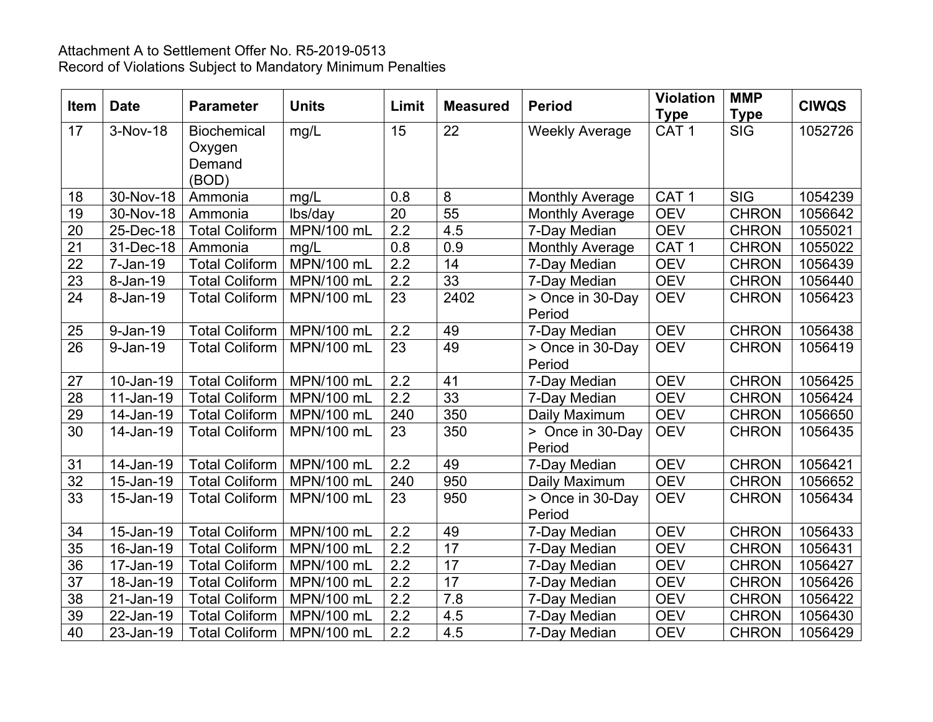# Attachment A to Settlement Offer No. R5-2019-0513 Record of Violations Subject to Mandatory Minimum Penalties

| <b>Item</b>     | <b>Date</b>   | <b>Parameter</b>      | <b>Units</b>      | Limit            | <b>Measured</b> | <b>Period</b>              | <b>Violation</b><br><b>Type</b> | <b>MMP</b><br><b>Type</b> | <b>CIWQS</b> |
|-----------------|---------------|-----------------------|-------------------|------------------|-----------------|----------------------------|---------------------------------|---------------------------|--------------|
| 17              | 3-Nov-18      | <b>Biochemical</b>    | mg/L              | 15               | 22              | <b>Weekly Average</b>      | CAT <sub>1</sub>                | <b>SIG</b>                | 1052726      |
|                 |               | Oxygen                |                   |                  |                 |                            |                                 |                           |              |
|                 |               | Demand                |                   |                  |                 |                            |                                 |                           |              |
|                 |               | (BOD)                 |                   |                  |                 |                            |                                 |                           |              |
| 18              | $30 - Nov-18$ | Ammonia               | mg/L              | 0.8              | 8               | <b>Monthly Average</b>     | CAT <sub>1</sub>                | <b>SIG</b>                | 1054239      |
| 19              | 30-Nov-18     | Ammonia               | lbs/day           | $\overline{20}$  | 55              | <b>Monthly Average</b>     | <b>OEV</b>                      | <b>CHRON</b>              | 1056642      |
| 20              | 25-Dec-18     | <b>Total Coliform</b> | MPN/100 mL        | 2.2              | 4.5             | 7-Day Median               | <b>OEV</b>                      | <b>CHRON</b>              | 1055021      |
| $\overline{21}$ | 31-Dec-18     | Ammonia               | mg/L              | 0.8              | 0.9             | <b>Monthly Average</b>     | CAT <sub>1</sub>                | <b>CHRON</b>              | 1055022      |
| $\overline{22}$ | 7-Jan-19      | <b>Total Coliform</b> | MPN/100 mL        | 2.2              | 14              | 7-Day Median               | <b>OEV</b>                      | <b>CHRON</b>              | 1056439      |
| 23              | 8-Jan-19      | <b>Total Coliform</b> | MPN/100 mL        | 2.2              | 33              | 7-Day Median               | <b>OEV</b>                      | <b>CHRON</b>              | 1056440      |
| 24              | 8-Jan-19      | <b>Total Coliform</b> | MPN/100 mL        | 23               | 2402            | > Once in 30-Day<br>Period | <b>OEV</b>                      | <b>CHRON</b>              | 1056423      |
| 25              | 9-Jan-19      | Total Coliform        | MPN/100 mL        | 2.2              | 49              | 7-Day Median               | <b>OEV</b>                      | <b>CHRON</b>              | 1056438      |
| $\overline{26}$ | 9-Jan-19      | <b>Total Coliform</b> | MPN/100 mL        | 23               | 49              | > Once in 30-Day           | <b>OEV</b>                      | <b>CHRON</b>              | 1056419      |
|                 |               |                       |                   |                  |                 | Period                     |                                 |                           |              |
| 27              | 10-Jan-19     | <b>Total Coliform</b> | MPN/100 mL        | 2.2              | 41              | 7-Day Median               | <b>OEV</b>                      | <b>CHRON</b>              | 1056425      |
| 28              | 11-Jan-19     | <b>Total Coliform</b> | MPN/100 mL        | $\overline{2.2}$ | 33              | 7-Day Median               | <b>OEV</b>                      | <b>CHRON</b>              | 1056424      |
| 29              | 14-Jan-19     | <b>Total Coliform</b> | MPN/100 mL        | 240              | 350             | Daily Maximum              | <b>OEV</b>                      | <b>CHRON</b>              | 1056650      |
| 30              | 14-Jan-19     | <b>Total Coliform</b> | MPN/100 mL        | 23               | 350             | > Once in 30-Day           | <b>OEV</b>                      | <b>CHRON</b>              | 1056435      |
|                 |               |                       |                   |                  |                 | Period                     |                                 |                           |              |
| 31              | 14-Jan-19     | Total Coliform        | MPN/100 mL        | 2.2              | 49              | 7-Day Median               | <b>OEV</b>                      | <b>CHRON</b>              | 1056421      |
| $\overline{32}$ | 15-Jan-19     | <b>Total Coliform</b> | MPN/100 mL        | 240              | 950             | Daily Maximum              | <b>OEV</b>                      | <b>CHRON</b>              | 1056652      |
| 33              | 15-Jan-19     | <b>Total Coliform</b> | MPN/100 mL        | 23               | 950             | > Once in 30-Day           | <b>OEV</b>                      | <b>CHRON</b>              | 1056434      |
|                 |               |                       |                   |                  |                 | Period                     |                                 |                           |              |
| 34              | 15-Jan-19     | <b>Total Coliform</b> | <b>MPN/100 mL</b> | 2.2              | 49              | 7-Day Median               | <b>OEV</b>                      | <b>CHRON</b>              | 1056433      |
| 35              | 16-Jan-19     | <b>Total Coliform</b> | MPN/100 mL        | 2.2              | 17              | 7-Day Median               | <b>OEV</b>                      | <b>CHRON</b>              | 1056431      |
| 36              | 17-Jan-19     | <b>Total Coliform</b> | MPN/100 mL        | 2.2              | 17              | 7-Day Median               | <b>OEV</b>                      | <b>CHRON</b>              | 1056427      |
| $\overline{37}$ | 18-Jan-19     | <b>Total Coliform</b> | MPN/100 mL        | 2.2              | $\overline{17}$ | 7-Day Median               | <b>OEV</b>                      | <b>CHRON</b>              | 1056426      |
| 38              | 21-Jan-19     | <b>Total Coliform</b> | MPN/100 mL        | $\overline{2.2}$ | 7.8             | 7-Day Median               | <b>OEV</b>                      | <b>CHRON</b>              | 1056422      |
| $\overline{39}$ | 22-Jan-19     | <b>Total Coliform</b> | MPN/100 mL        | 2.2              | 4.5             | 7-Day Median               | <b>OEV</b>                      | <b>CHRON</b>              | 1056430      |
| 40              | 23-Jan-19     | <b>Total Coliform</b> | MPN/100 mL        | 2.2              | 4.5             | 7-Day Median               | <b>OEV</b>                      | <b>CHRON</b>              | 1056429      |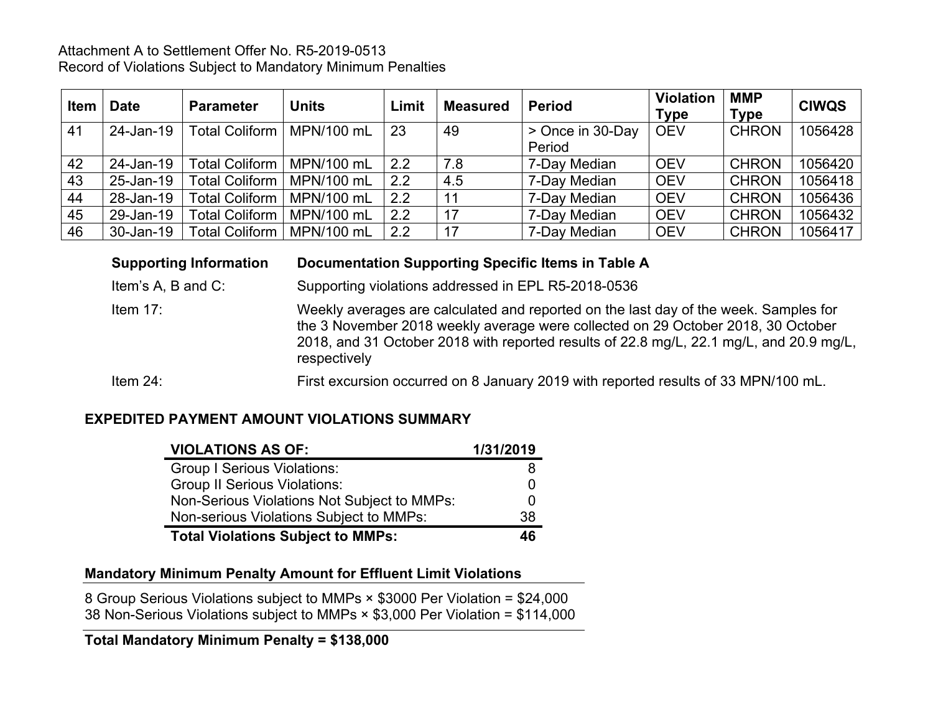### Attachment A to Settlement Offer No. R5-2019-0513 Record of Violations Subject to Mandatory Minimum Penalties

| <b>Item</b> | Date      | <b>Parameter</b>      | <b>Units</b> | Limit | <b>Measured</b> | <b>Period</b>    | <b>Violation</b><br><b>Type</b> | <b>MMP</b><br><b>Type</b> | <b>CIWQS</b> |
|-------------|-----------|-----------------------|--------------|-------|-----------------|------------------|---------------------------------|---------------------------|--------------|
| 41          | 24-Jan-19 | Total Coliform        | MPN/100 mL   | 23    | 49              | > Once in 30-Day | <b>OEV</b>                      | <b>CHRON</b>              | 1056428      |
|             |           |                       |              |       |                 | Period           |                                 |                           |              |
| 42          | 24-Jan-19 | Total Coliform        | MPN/100 mL   | 2.2   | 7.8             | 7-Day Median     | <b>OEV</b>                      | <b>CHRON</b>              | 1056420      |
| 43          | 25-Jan-19 | <b>Total Coliform</b> | MPN/100 mL   | 2.2   | 4.5             | 7-Day Median     | <b>OEV</b>                      | <b>CHRON</b>              | 1056418      |
| 44          | 28-Jan-19 | <b>Total Coliform</b> | MPN/100 mL   | 2.2   | 11              | 7-Day Median     | <b>OEV</b>                      | <b>CHRON</b>              | 1056436      |
| 45          | 29-Jan-19 | <b>Total Coliform</b> | MPN/100 mL   | 2.2   | 17              | 7-Day Median     | <b>OEV</b>                      | <b>CHRON</b>              | 1056432      |
| 46          | 30-Jan-19 | <b>Total Coliform</b> | MPN/100 mL   | 2.2   | 17              | 7-Day Median     | <b>OEV</b>                      | <b>CHRON</b>              | 1056417      |

# **Supporting Information Documentation Supporting Specific Items in Table A**

Item's A, B and C: Supporting violations addressed in EPL R5-2018-0536

Item 17: Weekly averages are calculated and reported on the last day of the week. Samples for the 3 November 2018 weekly average were collected on 29 October 2018, 30 October 2018, and 31 October 2018 with reported results of 22.8 mg/L, 22.1 mg/L, and 20.9 mg/L, respectively

Item 24: First excursion occurred on 8 January 2019 with reported results of 33 MPN/100 mL.

# **EXPEDITED PAYMENT AMOUNT VIOLATIONS SUMMARY**

| <b>VIOLATIONS AS OF:</b>                    | 1/31/2019 |
|---------------------------------------------|-----------|
| <b>Group I Serious Violations:</b>          | 8         |
| <b>Group II Serious Violations:</b>         | O         |
| Non-Serious Violations Not Subject to MMPs: | O         |
| Non-serious Violations Subject to MMPs:     | 38        |
| <b>Total Violations Subject to MMPs:</b>    | 46        |

# **Mandatory Minimum Penalty Amount for Effluent Limit Violations**

8 Group Serious Violations subject to MMPs × \$3000 Per Violation = \$24,000 38 Non-Serious Violations subject to MMPs × \$3,000 Per Violation = \$114,000

#### **Total Mandatory Minimum Penalty = \$138,000**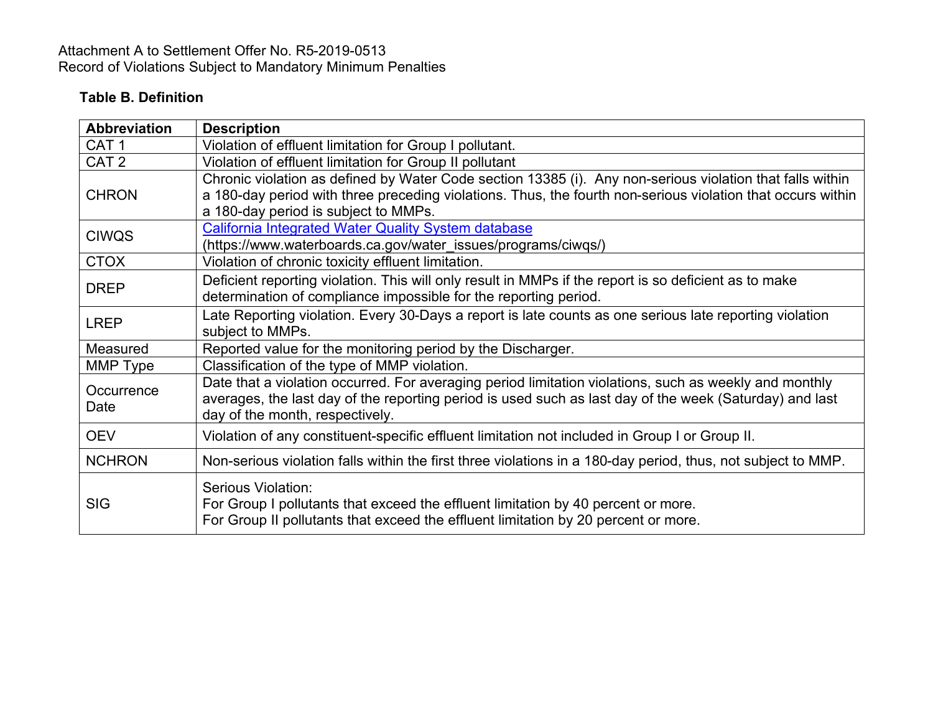# Attachment A to Settlement Offer No. R5-2019-0513 Record of Violations Subject to Mandatory Minimum Penalties

# **Table B. Definition**

| <b>Abbreviation</b> | <b>Description</b>                                                                                                                                                                                                                                               |
|---------------------|------------------------------------------------------------------------------------------------------------------------------------------------------------------------------------------------------------------------------------------------------------------|
| CAT <sub>1</sub>    | Violation of effluent limitation for Group I pollutant.                                                                                                                                                                                                          |
| CAT <sub>2</sub>    | Violation of effluent limitation for Group II pollutant                                                                                                                                                                                                          |
| <b>CHRON</b>        | Chronic violation as defined by Water Code section 13385 (i). Any non-serious violation that falls within<br>a 180-day period with three preceding violations. Thus, the fourth non-serious violation that occurs within<br>a 180-day period is subject to MMPs. |
| <b>CIWQS</b>        | <b>California Integrated Water Quality System database</b><br>(https://www.waterboards.ca.gov/water_issues/programs/ciwqs/)                                                                                                                                      |
| <b>CTOX</b>         | Violation of chronic toxicity effluent limitation.                                                                                                                                                                                                               |
| <b>DREP</b>         | Deficient reporting violation. This will only result in MMPs if the report is so deficient as to make<br>determination of compliance impossible for the reporting period.                                                                                        |
| <b>LREP</b>         | Late Reporting violation. Every 30-Days a report is late counts as one serious late reporting violation<br>subject to MMPs.                                                                                                                                      |
| Measured            | Reported value for the monitoring period by the Discharger.                                                                                                                                                                                                      |
| MMP Type            | Classification of the type of MMP violation.                                                                                                                                                                                                                     |
| Occurrence<br>Date  | Date that a violation occurred. For averaging period limitation violations, such as weekly and monthly<br>averages, the last day of the reporting period is used such as last day of the week (Saturday) and last<br>day of the month, respectively.             |
| <b>OEV</b>          | Violation of any constituent-specific effluent limitation not included in Group I or Group II.                                                                                                                                                                   |
| <b>NCHRON</b>       | Non-serious violation falls within the first three violations in a 180-day period, thus, not subject to MMP.                                                                                                                                                     |
| <b>SIG</b>          | Serious Violation:<br>For Group I pollutants that exceed the effluent limitation by 40 percent or more.<br>For Group II pollutants that exceed the effluent limitation by 20 percent or more.                                                                    |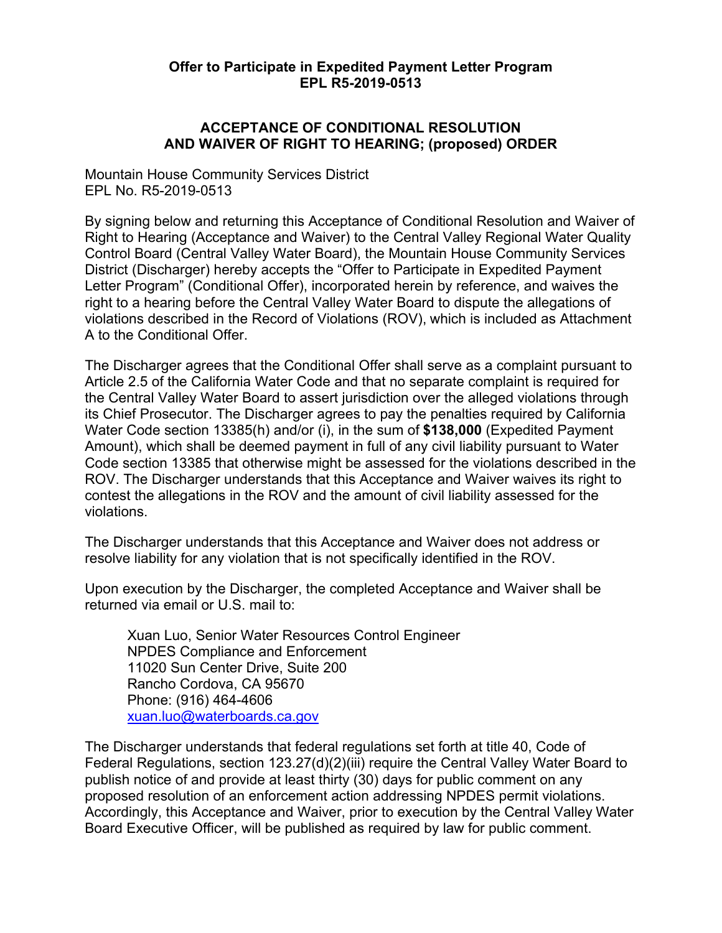### **Offer to Participate in Expedited Payment Letter Program EPL R5-2019-0513**

### **ACCEPTANCE OF CONDITIONAL RESOLUTION AND WAIVER OF RIGHT TO HEARING; (proposed) ORDER**

Mountain House Community Services District EPL No. R5-2019-0513

By signing below and returning this Acceptance of Conditional Resolution and Waiver of Right to Hearing (Acceptance and Waiver) to the Central Valley Regional Water Quality Control Board (Central Valley Water Board), the Mountain House Community Services District (Discharger) hereby accepts the "Offer to Participate in Expedited Payment Letter Program" (Conditional Offer), incorporated herein by reference, and waives the right to a hearing before the Central Valley Water Board to dispute the allegations of violations described in the Record of Violations (ROV), which is included as Attachment A to the Conditional Offer.

The Discharger agrees that the Conditional Offer shall serve as a complaint pursuant to Article 2.5 of the California Water Code and that no separate complaint is required for the Central Valley Water Board to assert jurisdiction over the alleged violations through its Chief Prosecutor. The Discharger agrees to pay the penalties required by California Water Code section 13385(h) and/or (i), in the sum of **\$138,000** (Expedited Payment Amount), which shall be deemed payment in full of any civil liability pursuant to Water Code section 13385 that otherwise might be assessed for the violations described in the ROV. The Discharger understands that this Acceptance and Waiver waives its right to contest the allegations in the ROV and the amount of civil liability assessed for the violations.

The Discharger understands that this Acceptance and Waiver does not address or resolve liability for any violation that is not specifically identified in the ROV.

Upon execution by the Discharger, the completed Acceptance and Waiver shall be returned via email or U.S. mail to:

Xuan Luo, Senior Water Resources Control Engineer NPDES Compliance and Enforcement 11020 Sun Center Drive, Suite 200 Rancho Cordova, CA 95670 Phone: (916) 464-4606 [xuan.luo@waterboards.ca.gov](mailto:xuan.luo@waterboards.ca.gov)

The Discharger understands that federal regulations set forth at title 40, Code of Federal Regulations, section 123.27(d)(2)(iii) require the Central Valley Water Board to publish notice of and provide at least thirty (30) days for public comment on any proposed resolution of an enforcement action addressing NPDES permit violations. Accordingly, this Acceptance and Waiver, prior to execution by the Central Valley Water Board Executive Officer, will be published as required by law for public comment.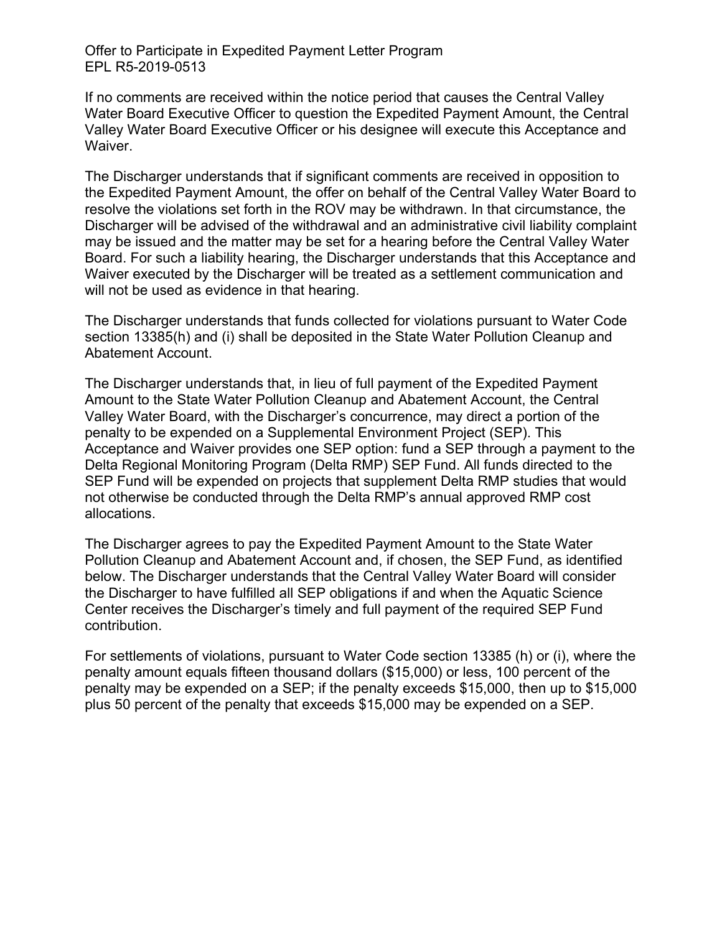Offer to Participate in Expedited Payment Letter Program EPL R5-2019-0513

If no comments are received within the notice period that causes the Central Valley Water Board Executive Officer to question the Expedited Payment Amount, the Central Valley Water Board Executive Officer or his designee will execute this Acceptance and Waiver.

The Discharger understands that if significant comments are received in opposition to the Expedited Payment Amount, the offer on behalf of the Central Valley Water Board to resolve the violations set forth in the ROV may be withdrawn. In that circumstance, the Discharger will be advised of the withdrawal and an administrative civil liability complaint may be issued and the matter may be set for a hearing before the Central Valley Water Board. For such a liability hearing, the Discharger understands that this Acceptance and Waiver executed by the Discharger will be treated as a settlement communication and will not be used as evidence in that hearing.

The Discharger understands that funds collected for violations pursuant to Water Code section 13385(h) and (i) shall be deposited in the State Water Pollution Cleanup and Abatement Account.

The Discharger understands that, in lieu of full payment of the Expedited Payment Amount to the State Water Pollution Cleanup and Abatement Account, the Central Valley Water Board, with the Discharger's concurrence, may direct a portion of the penalty to be expended on a Supplemental Environment Project (SEP). This Acceptance and Waiver provides one SEP option: fund a SEP through a payment to the Delta Regional Monitoring Program (Delta RMP) SEP Fund. All funds directed to the SEP Fund will be expended on projects that supplement Delta RMP studies that would not otherwise be conducted through the Delta RMP's annual approved RMP cost allocations.

The Discharger agrees to pay the Expedited Payment Amount to the State Water Pollution Cleanup and Abatement Account and, if chosen, the SEP Fund, as identified below. The Discharger understands that the Central Valley Water Board will consider the Discharger to have fulfilled all SEP obligations if and when the Aquatic Science Center receives the Discharger's timely and full payment of the required SEP Fund contribution.

For settlements of violations, pursuant to Water Code section 13385 (h) or (i), where the penalty amount equals fifteen thousand dollars (\$15,000) or less, 100 percent of the penalty may be expended on a SEP; if the penalty exceeds \$15,000, then up to \$15,000 plus 50 percent of the penalty that exceeds \$15,000 may be expended on a SEP.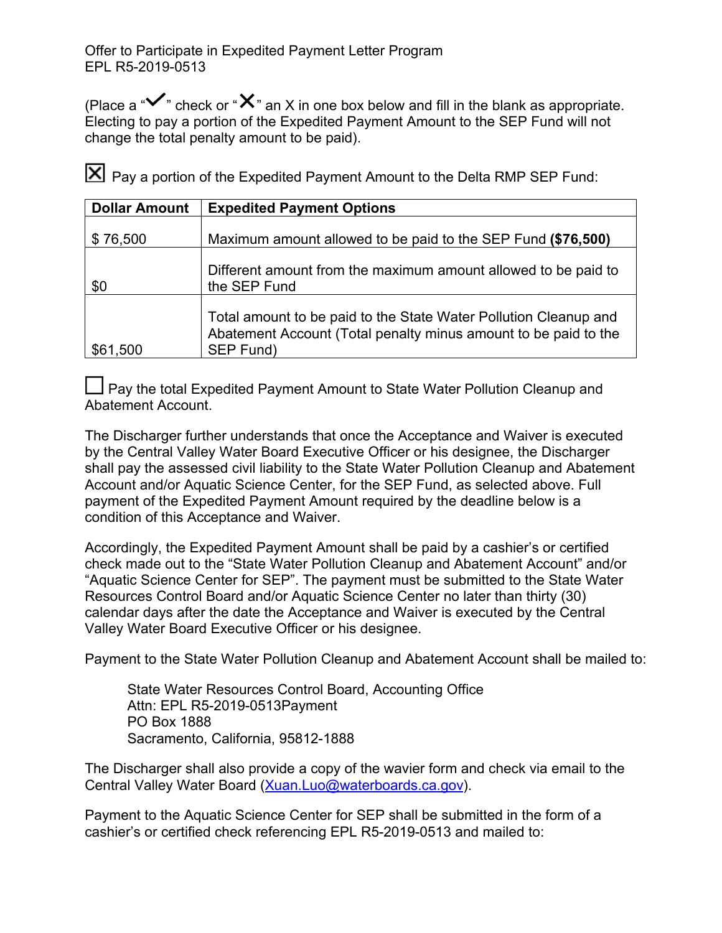(Place a " $\checkmark$ " check or " $\checkmark$ " an X in one box below and fill in the blank as appropriate. Electing to pay a portion of the Expedited Payment Amount to the SEP Fund will not change the total penalty amount to be paid).

Pay a portion of the Expedited Payment Amount to the Delta RMP SEP Fund:

| <b>Dollar Amount</b> | <b>Expedited Payment Options</b>                                                                                                                 |
|----------------------|--------------------------------------------------------------------------------------------------------------------------------------------------|
| \$76,500             | Maximum amount allowed to be paid to the SEP Fund (\$76,500)                                                                                     |
| \$0                  | Different amount from the maximum amount allowed to be paid to<br>the SEP Fund                                                                   |
| \$61,500             | Total amount to be paid to the State Water Pollution Cleanup and<br>Abatement Account (Total penalty minus amount to be paid to the<br>SEP Fund) |

Pay the total Expedited Payment Amount to State Water Pollution Cleanup and Abatement Account.

The Discharger further understands that once the Acceptance and Waiver is executed by the Central Valley Water Board Executive Officer or his designee, the Discharger shall pay the assessed civil liability to the State Water Pollution Cleanup and Abatement Account and/or Aquatic Science Center, for the SEP Fund, as selected above. Full payment of the Expedited Payment Amount required by the deadline below is a condition of this Acceptance and Waiver.

Accordingly, the Expedited Payment Amount shall be paid by a cashier's or certified check made out to the "State Water Pollution Cleanup and Abatement Account" and/or "Aquatic Science Center for SEP". The payment must be submitted to the State Water Resources Control Board and/or Aquatic Science Center no later than thirty (30) calendar days after the date the Acceptance and Waiver is executed by the Central Valley Water Board Executive Officer or his designee.

Payment to the State Water Pollution Cleanup and Abatement Account shall be mailed to:

State Water Resources Control Board, Accounting Office Attn: EPL R5-2019-0513Payment PO Box 1888 Sacramento, California, 95812-1888

The Discharger shall also provide a copy of the wavier form and check via email to the Central Valley Water Board ([Xuan.Luo@waterboards.ca.gov](mailto:Xuan.Luo@waterboards.ca.gov)).

Payment to the Aquatic Science Center for SEP shall be submitted in the form of a cashier's or certified check referencing EPL R5-2019-0513 and mailed to: